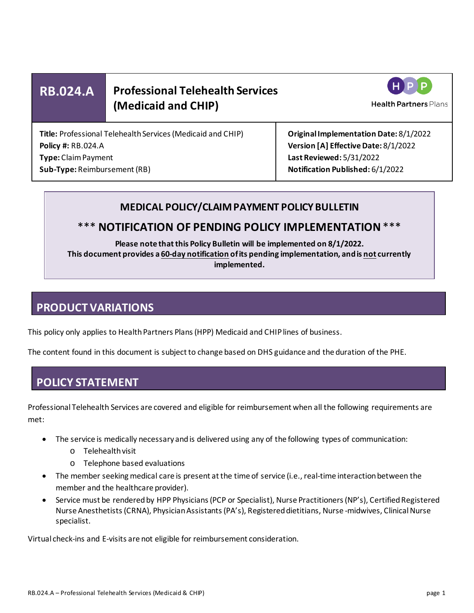# **RB.024.A Professional Telehealth Services (Medicaid and CHIP)**



**Health Partners Plans** 

**Title:** Professional Telehealth Services(Medicaid and CHIP) **Policy #:** RB.024.A **Type:** Claim Payment **Sub-Type:** Reimbursement (RB)

**Original Implementation Date:** 8/1/2022 **Version [A] Effective Date:** 8/1/2022 **Last Reviewed:** 5/31/2022 **Notification Published:** 6/1/2022

### **MEDICAL POLICY/CLAIM PAYMENT POLICY BULLETIN**

### \*\*\* **NOTIFICATION OF PENDING POLICY IMPLEMENTATION**\*\*\*

**Please note that this Policy Bulletin will be implemented on 8/1/2022. This document provides a 60-day notification of its pending implementation, and is not currently implemented.**

# **PRODUCT VARIATIONS**

This policy only applies to Health Partners Plans (HPP) Medicaid and CHIP lines of business.

The content found in this document is subject to change based on DHS guidance and the duration of the PHE.

## **POLICY STATEMENT**

Professional Telehealth Services are covered and eligible for reimbursement when all the following requirements are met:

- The service is medically necessary and is delivered using any of the following types of communication:
	- o Telehealth visit
	- o Telephone based evaluations
- The member seeking medical care is present at the time of service (i.e., real-time interaction between the member and the healthcare provider).
- Service must be rendered by HPP Physicians (PCP or Specialist), Nurse Practitioners (NP's), Certified Registered Nurse Anesthetists (CRNA), Physician Assistants (PA's), Registered dietitians, Nurse -midwives, Clinical Nurse specialist.

Virtual check-ins and E-visits are not eligible for reimbursement consideration.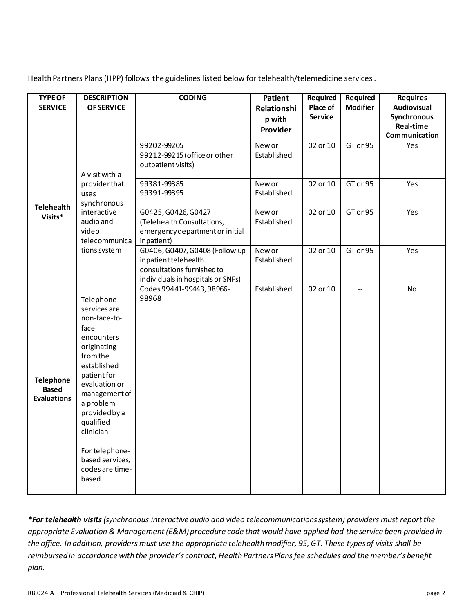Health Partners Plans (HPP) follows the guidelines listed below for telehealth/telemedicine services .

| <b>TYPE OF</b>                                         | <b>DESCRIPTION</b>                 | <b>CODING</b>                                                 | Patient               | Required       | Required        | <b>Requires</b>                 |
|--------------------------------------------------------|------------------------------------|---------------------------------------------------------------|-----------------------|----------------|-----------------|---------------------------------|
| <b>SERVICE</b>                                         | OF SERVICE                         |                                                               | Relationshi           | Place of       | <b>Modifier</b> | <b>Audiovisual</b>              |
|                                                        |                                    |                                                               | p with                | <b>Service</b> |                 | Synchronous<br><b>Real-time</b> |
|                                                        |                                    |                                                               | Provider              |                |                 | Communication                   |
|                                                        |                                    | 99202-99205                                                   | New or                | 02 or 10       | GT or 95        | Yes                             |
|                                                        |                                    | 99212-99215 (office or other                                  | Established           |                |                 |                                 |
|                                                        | A visit with a                     | outpatient visits)                                            |                       |                |                 |                                 |
|                                                        | providerthat                       | 99381-99385                                                   | New or                | 02 or 10       | GT or 95        | Yes                             |
| <b>Telehealth</b>                                      | uses<br>synchronous                | 99391-99395                                                   | Established           |                |                 |                                 |
| Visits*                                                | interactive                        | G0425, G0426, G0427                                           | New or                | 02 or 10       | $G$ T or 95     | Yes                             |
|                                                        | audio and<br>video                 | (Telehealth Consultations,<br>emergency department or initial | Established           |                |                 |                                 |
|                                                        | telecommunica                      | inpatient)                                                    |                       |                |                 |                                 |
|                                                        | tions system                       | G0406, G0407, G0408 (Follow-up                                | New or<br>Established | 02 or 10       | GT or 95        | Yes                             |
|                                                        |                                    | inpatient telehealth<br>consultations furnished to            |                       |                |                 |                                 |
|                                                        |                                    | individuals in hospitals or SNFs)                             |                       |                |                 |                                 |
|                                                        |                                    | Codes 99441-99443, 98966-<br>98968                            | Established           | 02 or 10       | $\overline{a}$  | <b>No</b>                       |
|                                                        | Telephone<br>services are          |                                                               |                       |                |                 |                                 |
|                                                        | non-face-to-                       |                                                               |                       |                |                 |                                 |
|                                                        | face<br>encounters                 |                                                               |                       |                |                 |                                 |
|                                                        | originating                        |                                                               |                       |                |                 |                                 |
|                                                        | from the                           |                                                               |                       |                |                 |                                 |
| <b>Telephone</b><br><b>Based</b><br><b>Evaluations</b> | established<br>patient for         |                                                               |                       |                |                 |                                 |
|                                                        | evaluation or                      |                                                               |                       |                |                 |                                 |
|                                                        | management of                      |                                                               |                       |                |                 |                                 |
|                                                        | a problem<br>provided by a         |                                                               |                       |                |                 |                                 |
|                                                        | qualified                          |                                                               |                       |                |                 |                                 |
|                                                        | clinician                          |                                                               |                       |                |                 |                                 |
|                                                        | For telephone-                     |                                                               |                       |                |                 |                                 |
|                                                        | based services,<br>codes are time- |                                                               |                       |                |                 |                                 |
|                                                        | based.                             |                                                               |                       |                |                 |                                 |
|                                                        |                                    |                                                               |                       |                |                 |                                 |

*\*For telehealth visits (synchronous interactive audio and video telecommunications system) providers must report the appropriate Evaluation & Management (E&M) procedure code that would have applied had the service been provided in the office. In addition, providers must use the appropriate telehealth modifier, 95, GT. These types of visits shall be reimbursed in accordance with the provider's contract, Health Partners Plans fee schedules and the member's benefit plan.*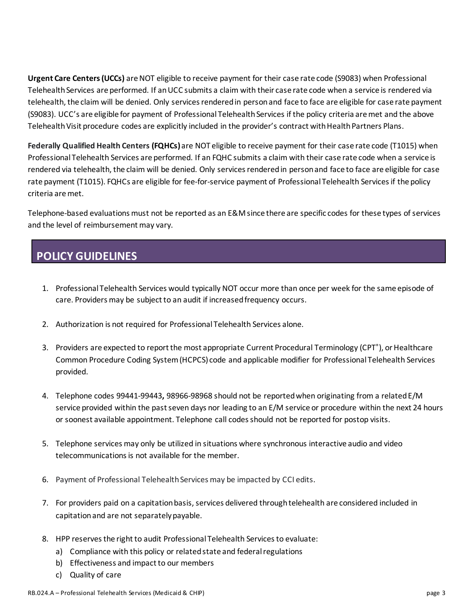**Urgent Care Centers (UCCs)** are NOT eligible to receive payment for their case rate code (S9083) when Professional Telehealth Services are performed. If an UCC submits a claim with their case rate code when a service is rendered via telehealth, the claim will be denied. Only services rendered in person and face to face are eligible for case rate payment (S9083). UCC's are eligible for payment of Professional Telehealth Services if the policy criteria are met and the above Telehealth Visit procedure codes are explicitly included in the provider's contract with Health Partners Plans.

**Federally Qualified Health Centers (FQHCs)**are NOT eligible to receive payment for their case rate code (T1015) when Professional Telehealth Services are performed. If an FQHC submits a claim with their case rate code when a service is rendered via telehealth, the claim will be denied. Only services rendered in person and face to face are eligible for case rate payment (T1015). FQHCs are eligible for fee-for-service payment of Professional Telehealth Servicesif the policy criteria are met.

Telephone-based evaluations must not be reported as an E&M since there are specific codes for these types of services and the level of reimbursement may vary.

# **POLICY GUIDELINES**

- 1. Professional Telehealth Services would typically NOT occur more than once per week for the same episode of care. Providers may be subject to an audit if increased frequency occurs.
- 2. Authorization is not required for Professional Telehealth Services alone.
- 3. Providers are expected to report the most appropriate Current Procedural Terminology (CPT<sup>®</sup>), or Healthcare Common Procedure Coding System (HCPCS) code and applicable modifier for Professional Telehealth Services provided.
- 4. Telephone codes 99441-99443**,** 98966-98968 should not be reported when originating from a related E/M service provided within the past seven days nor leading to an E/M service or procedure within the next 24 hours or soonest available appointment. Telephone call codes should not be reported for postop visits.
- 5. Telephone services may only be utilized in situations where synchronous interactive audio and video telecommunications is not available for the member.
- 6. Payment of Professional Telehealth Services may be impacted by CCI edits.
- 7. For providers paid on a capitation basis, services delivered through telehealth are considered included in capitation and are not separately payable.
- 8. HPP reserves the right to audit Professional Telehealth Services to evaluate:
	- a) Compliance with this policy or related state and federal regulations
	- b) Effectiveness and impact to our members
	- c) Quality of care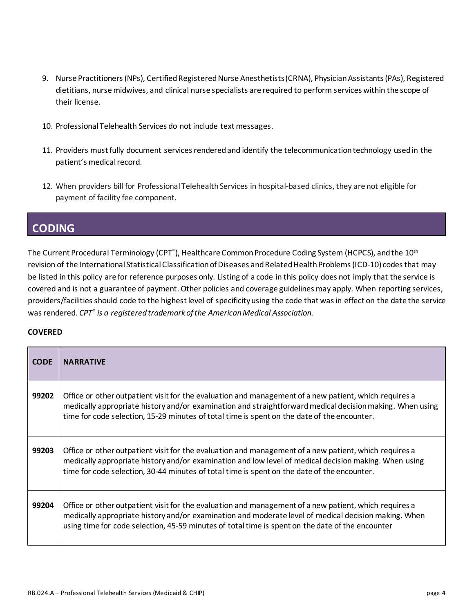- 9. Nurse Practitioners (NPs), Certified Registered Nurse Anesthetists (CRNA), Physician Assistants (PAs), Registered dietitians, nursemidwives, and clinical nurse specialists are required to perform services within the scope of their license.
- 10. Professional Telehealth Services do not include text messages.
- 11. Providers must fully document services rendered and identify the telecommunication technology used in the patient's medical record.
- 12. When providers bill for Professional Telehealth Services in hospital-based clinics, they are not eligible for payment of facility fee component.

### **CODING**

The Current Procedural Terminology (CPT<sup>®</sup>), Healthcare Common Procedure Coding System (HCPCS), and the 10<sup>th</sup> revision of the International Statistical Classification of Diseases and Related Health Problems(ICD-10) codes that may be listed in this policy are for reference purposes only. Listing of a code in this policy does not imply that the service is covered and is not a guarantee of payment. Other policies and coverage guidelines may apply. When reporting services, providers/facilities should code to the highest level of specificity using the code that was in effect on the date the service was rendered. *CPT® is a registered trademark of the American Medical Association.*

### **COVERED**

| <b>CODE</b> | <b>NARRATIVE</b>                                                                                                                                                                                                                                                                                                  |
|-------------|-------------------------------------------------------------------------------------------------------------------------------------------------------------------------------------------------------------------------------------------------------------------------------------------------------------------|
| 99202       | Office or other outpatient visit for the evaluation and management of a new patient, which requires a<br>medically appropriate history and/or examination and straightforward medical decision making. When using<br>time for code selection, 15-29 minutes of total time is spent on the date of the encounter.  |
| 99203       | Office or other outpatient visit for the evaluation and management of a new patient, which requires a<br>medically appropriate history and/or examination and low level of medical decision making. When using<br>time for code selection, 30-44 minutes of total time is spent on the date of the encounter.     |
| 99204       | Office or other outpatient visit for the evaluation and management of a new patient, which requires a<br>medically appropriate history and/or examination and moderate level of medical decision making. When<br>using time for code selection, 45-59 minutes of total time is spent on the date of the encounter |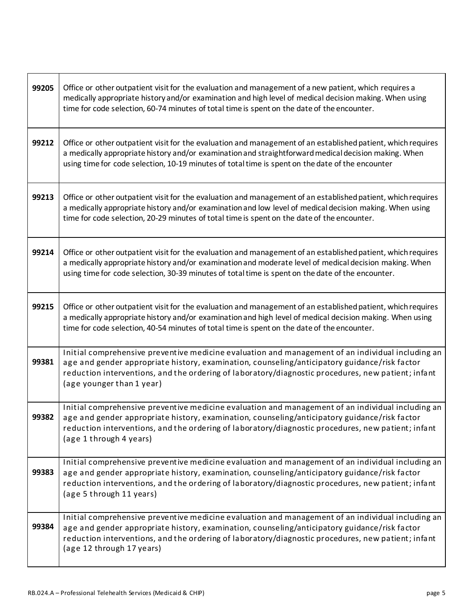| 99205 | Office or other outpatient visit for the evaluation and management of a new patient, which requires a<br>medically appropriate history and/or examination and high level of medical decision making. When using<br>time for code selection, 60-74 minutes of total time is spent on the date of the encounter.                        |
|-------|---------------------------------------------------------------------------------------------------------------------------------------------------------------------------------------------------------------------------------------------------------------------------------------------------------------------------------------|
| 99212 | Office or other outpatient visit for the evaluation and management of an established patient, which requires<br>a medically appropriate history and/or examination and straightforward medical decision making. When<br>using time for code selection, 10-19 minutes of total time is spent on the date of the encounter              |
| 99213 | Office or other outpatient visit for the evaluation and management of an established patient, which requires<br>a medically appropriate history and/or examination and low level of medical decision making. When using<br>time for code selection, 20-29 minutes of total time is spent on the date of the encounter.                |
| 99214 | Office or other outpatient visit for the evaluation and management of an established patient, which requires<br>a medically appropriate history and/or examination and moderate level of medical decision making. When<br>using time for code selection, 30-39 minutes of total time is spent on the date of the encounter.           |
| 99215 | Office or other outpatient visit for the evaluation and management of an established patient, which requires<br>a medically appropriate history and/or examination and high level of medical decision making. When using<br>time for code selection, 40-54 minutes of total time is spent on the date of the encounter.               |
| 99381 | Initial comprehensive preventive medicine evaluation and management of an individual including an<br>age and gender appropriate history, examination, counseling/anticipatory guidance/risk factor<br>reduction interventions, and the ordering of laboratory/diagnostic procedures, new patient; infant<br>(age younger than 1 year) |
| 99382 | Initial comprehensive preventive medicine evaluation and management of an individual including an<br>age and gender appropriate history, examination, counseling/anticipatory guidance/risk factor<br>reduction interventions, and the ordering of laboratory/diagnostic procedures, new patient; infant<br>(age 1 through 4 years)   |
| 99383 | Initial comprehensive preventive medicine evaluation and management of an individual including an<br>age and gender appropriate history, examination, counseling/anticipatory guidance/risk factor<br>reduction interventions, and the ordering of laboratory/diagnostic procedures, new patient; infant<br>(age 5 through 11 years)  |
| 99384 | Initial comprehensive preventive medicine evaluation and management of an individual including an<br>age and gender appropriate history, examination, counseling/anticipatory guidance/risk factor<br>reduction interventions, and the ordering of laboratory/diagnostic procedures, new patient; infant<br>(age 12 through 17 years) |

**r**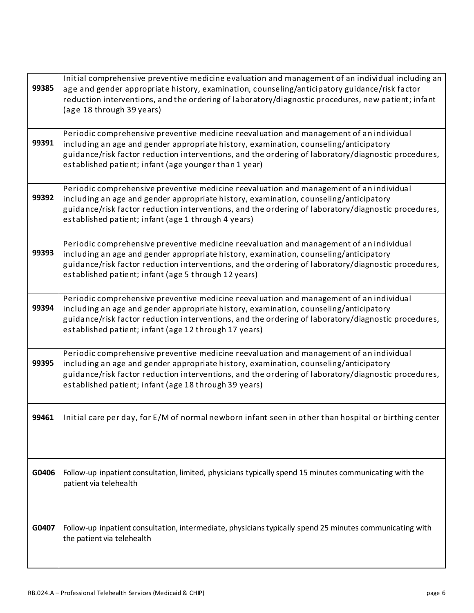| 99385 | Initial comprehensive preventive medicine evaluation and management of an individual including an<br>age and gender appropriate history, examination, counseling/anticipatory guidance/risk factor<br>reduction interventions, and the ordering of laboratory/diagnostic procedures, new patient; infant<br>(age 18 through 39 years)            |  |  |  |
|-------|--------------------------------------------------------------------------------------------------------------------------------------------------------------------------------------------------------------------------------------------------------------------------------------------------------------------------------------------------|--|--|--|
| 99391 | Periodic comprehensive preventive medicine reevaluation and management of an individual<br>including an age and gender appropriate history, examination, counseling/anticipatory<br>guidance/risk factor reduction interventions, and the ordering of laboratory/diagnostic procedures,<br>established patient; infant (age younger than 1 year) |  |  |  |
| 99392 | Periodic comprehensive preventive medicine reevaluation and management of an individual<br>including an age and gender appropriate history, examination, counseling/anticipatory<br>guidance/risk factor reduction interventions, and the ordering of laboratory/diagnostic procedures,<br>established patient; infant (age 1 through 4 years)   |  |  |  |
| 99393 | Periodic comprehensive preventive medicine reevaluation and management of an individual<br>including an age and gender appropriate history, examination, counseling/anticipatory<br>guidance/risk factor reduction interventions, and the ordering of laboratory/diagnostic procedures,<br>established patient; infant (age 5 through 12 years)  |  |  |  |
| 99394 | Periodic comprehensive preventive medicine reevaluation and management of an individual<br>including an age and gender appropriate history, examination, counseling/anticipatory<br>guidance/risk factor reduction interventions, and the ordering of laboratory/diagnostic procedures,<br>established patient; infant (age 12 through 17 years) |  |  |  |
| 99395 | Periodic comprehensive preventive medicine reevaluation and management of an individual<br>including an age and gender appropriate history, examination, counseling/anticipatory<br>guidance/risk factor reduction interventions, and the ordering of laboratory/diagnostic procedures,<br>established patient; infant (age 18 through 39 years) |  |  |  |
| 99461 | Initial care per day, for E/M of normal newborn infant seen in other than hospital or birthing center                                                                                                                                                                                                                                            |  |  |  |
| G0406 | Follow-up inpatient consultation, limited, physicians typically spend 15 minutes communicating with the<br>patient via telehealth                                                                                                                                                                                                                |  |  |  |
| G0407 | Follow-up inpatient consultation, intermediate, physicians typically spend 25 minutes communicating with<br>the patient via telehealth                                                                                                                                                                                                           |  |  |  |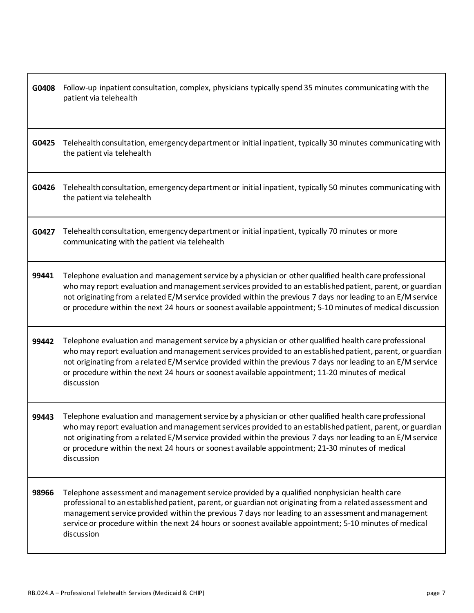| G0408 | Follow-up inpatient consultation, complex, physicians typically spend 35 minutes communicating with the<br>patient via telehealth                                                                                                                                                                                                                                                                                                                     |
|-------|-------------------------------------------------------------------------------------------------------------------------------------------------------------------------------------------------------------------------------------------------------------------------------------------------------------------------------------------------------------------------------------------------------------------------------------------------------|
| G0425 | Telehealth consultation, emergency department or initial inpatient, typically 30 minutes communicating with<br>the patient via telehealth                                                                                                                                                                                                                                                                                                             |
| G0426 | Telehealth consultation, emergency department or initial inpatient, typically 50 minutes communicating with<br>the patient via telehealth                                                                                                                                                                                                                                                                                                             |
| G0427 | Telehealth consultation, emergency department or initial inpatient, typically 70 minutes or more<br>communicating with the patient via telehealth                                                                                                                                                                                                                                                                                                     |
| 99441 | Telephone evaluation and management service by a physician or other qualified health care professional<br>who may report evaluation and management services provided to an established patient, parent, or guardian<br>not originating from a related E/M service provided within the previous 7 days nor leading to an E/M service<br>or procedure within the next 24 hours or soonest available appointment; 5-10 minutes of medical discussion     |
| 99442 | Telephone evaluation and management service by a physician or other qualified health care professional<br>who may report evaluation and management services provided to an established patient, parent, or guardian<br>not originating from a related E/M service provided within the previous 7 days nor leading to an E/M service<br>or procedure within the next 24 hours or soonest available appointment; 11-20 minutes of medical<br>discussion |
| 99443 | Telephone evaluation and management service by a physician or other qualified health care professional<br>who may report evaluation and management services provided to an established patient, parent, or guardian<br>not originating from a related E/M service provided within the previous 7 days nor leading to an E/M service<br>or procedure within the next 24 hours or soonest available appointment; 21-30 minutes of medical<br>discussion |
| 98966 | Telephone assessment and management service provided by a qualified nonphysician health care<br>professional to an established patient, parent, or guardian not originating from a related assessment and<br>management service provided within the previous 7 days nor leading to an assessment and management<br>service or procedure within the next 24 hours or soonest available appointment; 5-10 minutes of medical<br>discussion              |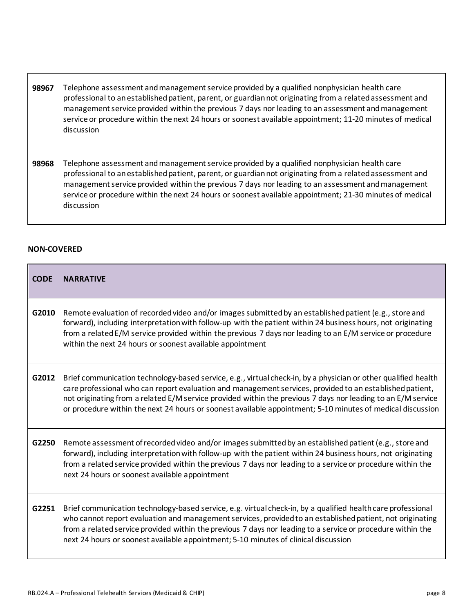| 98967 | Telephone assessment and management service provided by a qualified nonphysician health care<br>professional to an established patient, parent, or guardian not originating from a related assessment and<br>management service provided within the previous 7 days nor leading to an assessment and management<br>service or procedure within the next 24 hours or soonest available appointment; 11-20 minutes of medical<br>discussion |
|-------|-------------------------------------------------------------------------------------------------------------------------------------------------------------------------------------------------------------------------------------------------------------------------------------------------------------------------------------------------------------------------------------------------------------------------------------------|
| 98968 | Telephone assessment and management service provided by a qualified nonphysician health care<br>professional to an established patient, parent, or guardian not originating from a related assessment and<br>management service provided within the previous 7 days nor leading to an assessment and management<br>service or procedure within the next 24 hours or soonest available appointment; 21-30 minutes of medical<br>discussion |

#### **NON-COVERED**

| <b>CODE</b> | <b>NARRATIVE</b>                                                                                                                                                                                                                                                                                                                                                                                                                                         |
|-------------|----------------------------------------------------------------------------------------------------------------------------------------------------------------------------------------------------------------------------------------------------------------------------------------------------------------------------------------------------------------------------------------------------------------------------------------------------------|
| G2010       | Remote evaluation of recorded video and/or images submitted by an established patient (e.g., store and<br>forward), including interpretation with follow-up with the patient within 24 business hours, not originating<br>from a related E/M service provided within the previous 7 days nor leading to an E/M service or procedure<br>within the next 24 hours or soonest available appointment                                                         |
| G2012       | Brief communication technology-based service, e.g., virtual check-in, by a physician or other qualified health<br>care professional who can report evaluation and management services, provided to an established patient,<br>not originating from a related E/M service provided within the previous 7 days nor leading to an E/M service<br>or procedure within the next 24 hours or soonest available appointment; 5-10 minutes of medical discussion |
| G2250       | Remote assessment of recorded video and/or images submitted by an established patient (e.g., store and<br>forward), including interpretation with follow-up with the patient within 24 business hours, not originating<br>from a related service provided within the previous 7 days nor leading to a service or procedure within the<br>next 24 hours or soonest available appointment                                                                  |
| G2251       | Brief communication technology-based service, e.g. virtual check-in, by a qualified health care professional<br>who cannot report evaluation and management services, provided to an established patient, not originating<br>from a related service provided within the previous 7 days nor leading to a service or procedure within the<br>next 24 hours or soonest available appointment; 5-10 minutes of clinical discussion                          |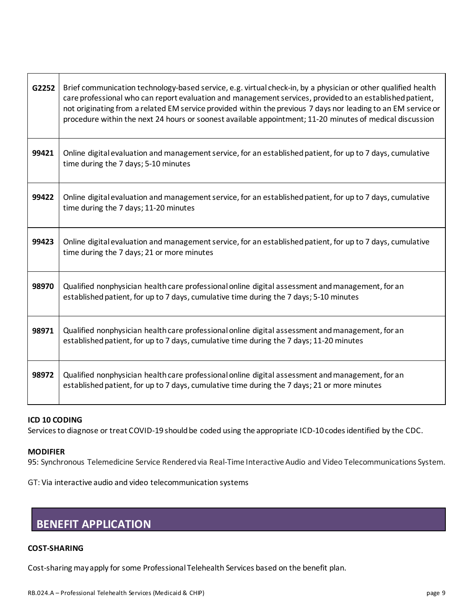| G2252 | Brief communication technology-based service, e.g. virtual check-in, by a physician or other qualified health<br>care professional who can report evaluation and management services, provided to an established patient,<br>not originating from a related EM service provided within the previous 7 days nor leading to an EM service or<br>procedure within the next 24 hours or soonest available appointment; 11-20 minutes of medical discussion |
|-------|--------------------------------------------------------------------------------------------------------------------------------------------------------------------------------------------------------------------------------------------------------------------------------------------------------------------------------------------------------------------------------------------------------------------------------------------------------|
| 99421 | Online digital evaluation and management service, for an established patient, for up to 7 days, cumulative<br>time during the 7 days; 5-10 minutes                                                                                                                                                                                                                                                                                                     |
| 99422 | Online digital evaluation and management service, for an established patient, for up to 7 days, cumulative<br>time during the 7 days; 11-20 minutes                                                                                                                                                                                                                                                                                                    |
| 99423 | Online digital evaluation and management service, for an established patient, for up to 7 days, cumulative<br>time during the 7 days; 21 or more minutes                                                                                                                                                                                                                                                                                               |
| 98970 | Qualified nonphysician health care professional online digital assessment and management, for an<br>established patient, for up to 7 days, cumulative time during the 7 days; 5-10 minutes                                                                                                                                                                                                                                                             |
| 98971 | Qualified nonphysician health care professional online digital assessment and management, for an<br>established patient, for up to 7 days, cumulative time during the 7 days; 11-20 minutes                                                                                                                                                                                                                                                            |
| 98972 | Qualified nonphysician health care professional online digital assessment and management, for an<br>established patient, for up to 7 days, cumulative time during the 7 days; 21 or more minutes                                                                                                                                                                                                                                                       |

#### **ICD 10 CODING**

Services to diagnose or treat COVID-19 should be coded using the appropriate ICD-10 codes identified by the CDC.

#### **MODIFIER**

95: Synchronous Telemedicine Service Rendered via Real-Time Interactive Audio and Video Telecommunications System.

GT: Via interactive audio and video telecommunication systems

## **BENEFIT APPLICATION**

#### **COST-SHARING**

Cost-sharing may apply for some Professional Telehealth Services based on the benefit plan.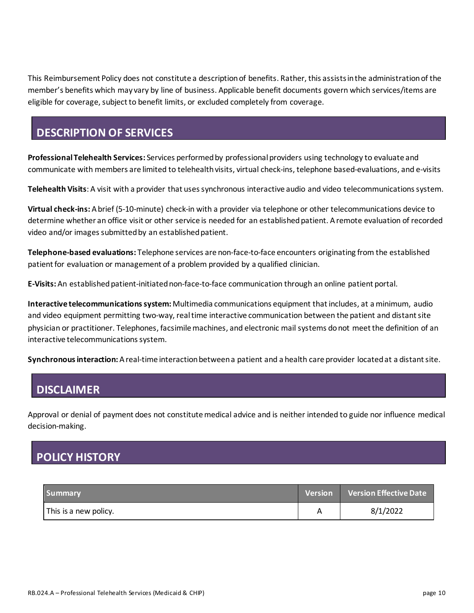This Reimbursement Policy does not constitute a description of benefits. Rather, this assists in the administration of the member's benefits which may vary by line of business. Applicable benefit documents govern which services/items are eligible for coverage, subject to benefit limits, or excluded completely from coverage.

# **DESCRIPTION OF SERVICES**

**Professional Telehealth Services:** Services performed by professional providers using technology to evaluate and communicate with members are limited to telehealth visits, virtual check-ins, telephone based-evaluations, and e-visits

**Telehealth Visits**: A visit with a provider that uses synchronous interactive audio and video telecommunications system.

**Virtual check-ins:** Abrief (5-10-minute) check-in with a provider via telephone or other telecommunications device to determine whether an office visit or other service is needed for an established patient. A remote evaluation of recorded video and/or images submitted by an established patient.

**Telephone-based evaluations:** Telephone services are non-face-to-face encounters originating from the established patient for evaluation or management of a problem provided by a qualified clinician.

**E-Visits:** An established patient-initiated non-face-to-face communication through an online patient portal.

**Interactive telecommunications system:** Multimedia communications equipment that includes, at a minimum, audio and video equipment permitting two-way, real time interactive communication between the patient and distant site physician or practitioner. Telephones, facsimile machines, and electronic mail systems do not meet the definition of an interactive telecommunications system.

**Synchronous interaction:** A real-time interaction between a patient and a health care provider located at a distant site.

# **DISCLAIMER**

Approval or denial of payment does not constitute medical advice and is neither intended to guide nor influence medical decision-making.

# **POLICY HISTORY**

| <b>Summary</b>        | <b>Nersion Version Effective Date</b> |
|-----------------------|---------------------------------------|
| This is a new policy. | 8/1/2022                              |